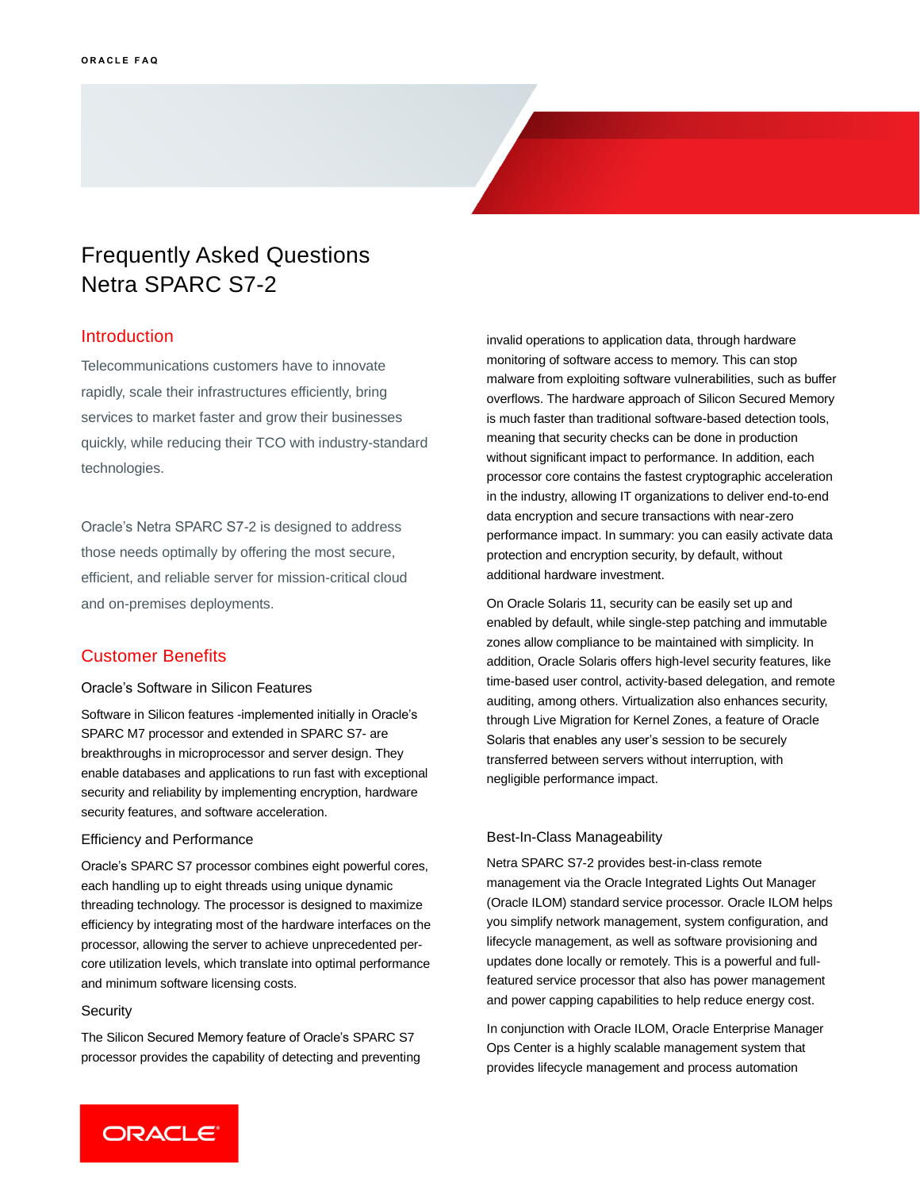# Frequently Asked Questions Netra SPARC S7-2

### Introduction

Telecommunications customers have to innovate rapidly, scale their infrastructures efficiently, bring services to market faster and grow their businesses quickly, while reducing their TCO with industry-standard technologies.

Oracle's Netra SPARC S7-2 is designed to address those needs optimally by offering the most secure, efficient, and reliable server for mission-critical cloud and on-premises deployments.

# Customer Benefits

#### Oracle's Software in Silicon Features

Software in Silicon features -implemented initially in Oracle's SPARC M7 processor and extended in SPARC S7- are breakthroughs in microprocessor and server design. They enable databases and applications to run fast with exceptional security and reliability by implementing encryption, hardware security features, and software acceleration.

### Efficiency and Performance

Oracle's SPARC S7 processor combines eight powerful cores, each handling up to eight threads using unique dynamic threading technology. The processor is designed to maximize efficiency by integrating most of the hardware interfaces on the processor, allowing the server to achieve unprecedented percore utilization levels, which translate into optimal performance and minimum software licensing costs.

#### **Security**

The Silicon Secured Memory feature of Oracle's SPARC S7 processor provides the capability of detecting and preventing invalid operations to application data, through hardware monitoring of software access to memory. This can stop malware from exploiting software vulnerabilities, such as buffer overflows. The hardware approach of Silicon Secured Memory is much faster than traditional software-based detection tools, meaning that security checks can be done in production without significant impact to performance. In addition, each processor core contains the fastest cryptographic acceleration in the industry, allowing IT organizations to deliver end-to-end data encryption and secure transactions with near-zero performance impact. In summary: you can easily activate data protection and encryption security, by default, without additional hardware investment.

On Oracle Solaris 11, security can be easily set up and enabled by default, while single-step patching and immutable zones allow compliance to be maintained with simplicity. In addition, Oracle Solaris offers high-level security features, like time-based user control, activity-based delegation, and remote auditing, among others. Virtualization also enhances security, through Live Migration for Kernel Zones, a feature of Oracle Solaris that enables any user's session to be securely transferred between servers without interruption, with negligible performance impact.

#### Best-In-Class Manageability

Netra SPARC S7-2 provides best-in-class remote management via the Oracle Integrated Lights Out Manager (Oracle ILOM) standard service processor. Oracle ILOM helps you simplify network management, system configuration, and lifecycle management, as well as software provisioning and updates done locally or remotely. This is a powerful and fullfeatured service processor that also has power management and power capping capabilities to help reduce energy cost.

In conjunction with Oracle ILOM, Oracle Enterprise Manager Ops Center is a highly scalable management system that provides lifecycle management and process automation

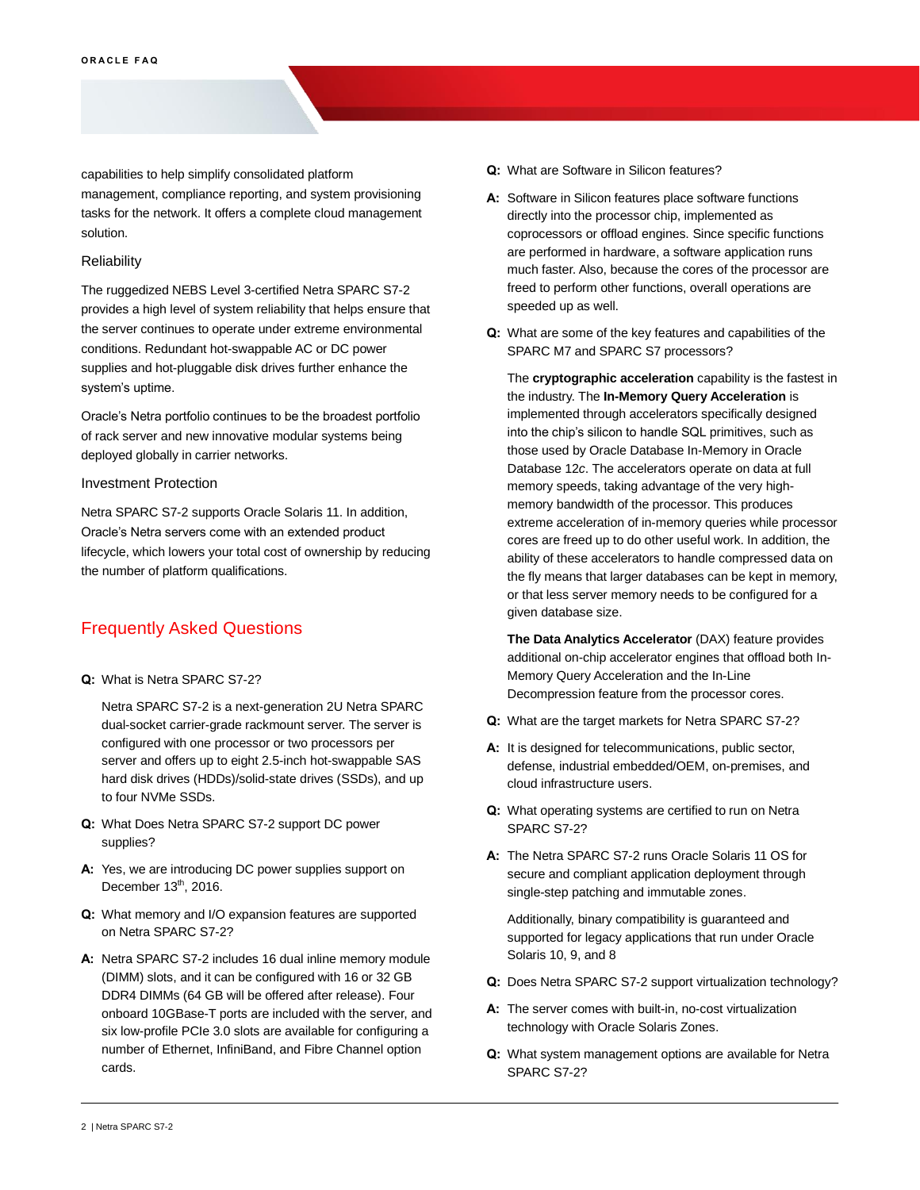capabilities to help simplify consolidated platform management, compliance reporting, and system provisioning tasks for the network. It offers a complete cloud management solution.

#### **Reliability**

The ruggedized NEBS Level 3-certified Netra SPARC S7-2 provides a high level of system reliability that helps ensure that the server continues to operate under extreme environmental conditions. Redundant hot-swappable AC or DC power supplies and hot-pluggable disk drives further enhance the system's uptime.

Oracle's Netra portfolio continues to be the broadest portfolio of rack server and new innovative modular systems being deployed globally in carrier networks.

#### Investment Protection

Netra SPARC S7-2 supports Oracle Solaris 11. In addition, Oracle's Netra servers come with an extended product lifecycle, which lowers your total cost of ownership by reducing the number of platform qualifications.

# Frequently Asked Questions

**Q:** What is Netra SPARC S7-2?

Netra SPARC S7-2 is a next-generation 2U Netra SPARC dual-socket carrier-grade rackmount server. The server is configured with one processor or two processors per server and offers up to eight 2.5-inch hot-swappable SAS hard disk drives (HDDs)/solid-state drives (SSDs), and up to four NVMe SSDs.

- **Q:** What Does Netra SPARC S7-2 support DC power supplies?
- **A:** Yes, we are introducing DC power supplies support on December  $13^{th}$ , 2016.
- **Q:** What memory and I/O expansion features are supported on Netra SPARC S7-2?
- **A:** Netra SPARC S7-2 includes 16 dual inline memory module (DIMM) slots, and it can be configured with 16 or 32 GB DDR4 DIMMs (64 GB will be offered after release). Four onboard 10GBase-T ports are included with the server, and six low-profile PCIe 3.0 slots are available for configuring a number of Ethernet, InfiniBand, and Fibre Channel option cards.
- **Q:** What are Software in Silicon features?
- **A:** Software in Silicon features place software functions directly into the processor chip, implemented as coprocessors or offload engines. Since specific functions are performed in hardware, a software application runs much faster. Also, because the cores of the processor are freed to perform other functions, overall operations are speeded up as well.
- **Q:** What are some of the key features and capabilities of the SPARC M7 and SPARC S7 processors?

The **cryptographic acceleration** capability is the fastest in the industry. The **In-Memory Query Acceleration** is implemented through accelerators specifically designed into the chip's silicon to handle SQL primitives, such as those used by Oracle Database In-Memory in Oracle Database 12*c*. The accelerators operate on data at full memory speeds, taking advantage of the very highmemory bandwidth of the processor. This produces extreme acceleration of in-memory queries while processor cores are freed up to do other useful work. In addition, the ability of these accelerators to handle compressed data on the fly means that larger databases can be kept in memory, or that less server memory needs to be configured for a given database size.

**The Data Analytics Accelerator** (DAX) feature provides additional on-chip accelerator engines that offload both In-Memory Query Acceleration and the In-Line Decompression feature from the processor cores.

- **Q:** What are the target markets for Netra SPARC S7-2?
- **A:** It is designed for telecommunications, public sector, defense, industrial embedded/OEM, on-premises, and cloud infrastructure users.
- **Q:** What operating systems are certified to run on Netra SPARC S7-2?
- **A:** The Netra SPARC S7-2 runs Oracle Solaris 11 OS for secure and compliant application deployment through single-step patching and immutable zones.

Additionally, binary compatibility is guaranteed and supported for legacy applications that run under Oracle Solaris 10, 9, and 8

- **Q:** Does Netra SPARC S7-2 support virtualization technology?
- **A:** The server comes with built-in, no-cost virtualization technology with Oracle Solaris Zones.
- **Q:** What system management options are available for Netra SPARC S7-2?